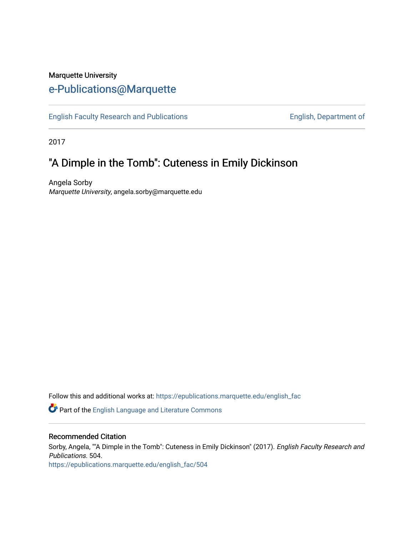## Marquette University [e-Publications@Marquette](https://epublications.marquette.edu/)

[English Faculty Research and Publications](https://epublications.marquette.edu/english_fac) **English, Department of** English, Department of

2017

# "A Dimple in the Tomb": Cuteness in Emily Dickinson

Angela Sorby Marquette University, angela.sorby@marquette.edu

Follow this and additional works at: [https://epublications.marquette.edu/english\\_fac](https://epublications.marquette.edu/english_fac?utm_source=epublications.marquette.edu%2Fenglish_fac%2F504&utm_medium=PDF&utm_campaign=PDFCoverPages)

Part of the [English Language and Literature Commons](http://network.bepress.com/hgg/discipline/455?utm_source=epublications.marquette.edu%2Fenglish_fac%2F504&utm_medium=PDF&utm_campaign=PDFCoverPages)

### Recommended Citation

Sorby, Angela, ""A Dimple in the Tomb": Cuteness in Emily Dickinson" (2017). English Faculty Research and Publications. 504. [https://epublications.marquette.edu/english\\_fac/504](https://epublications.marquette.edu/english_fac/504?utm_source=epublications.marquette.edu%2Fenglish_fac%2F504&utm_medium=PDF&utm_campaign=PDFCoverPages)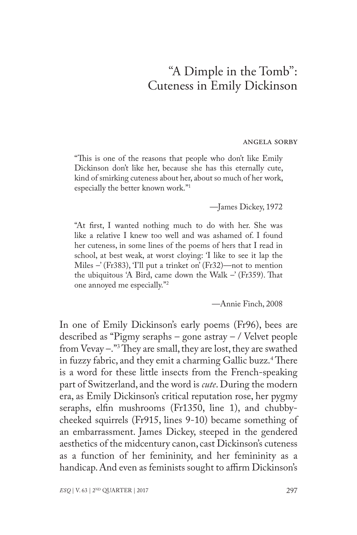## "A Dimple in the Tomb": Cuteness in Emily Dickinson

angela sorby

"This is one of the reasons that people who don't like Emily Dickinson don't like her, because she has this eternally cute, kind of smirking cuteness about her, about so much of her work, especially the better known work."1

—James Dickey, 1972

"At first, I wanted nothing much to do with her. She was like a relative I knew too well and was ashamed of. I found her cuteness, in some lines of the poems of hers that I read in school, at best weak, at worst cloying: 'I like to see it lap the Miles –' (Fr383), 'I'll put a trinket on' (Fr32)—not to mention the ubiquitous 'A Bird, came down the Walk –' (Fr359). That one annoyed me especially."2

—Annie Finch, 2008

In one of Emily Dickinson's early poems (Fr96), bees are described as "Pigmy seraphs – gone astray – / Velvet people from Vevay –."3 They are small, they are lost, they are swathed in fuzzy fabric, and they emit a charming Gallic buzz.4 There is a word for these little insects from the French-speaking part of Switzerland, and the word is *cute*. During the modern era, as Emily Dickinson's critical reputation rose, her pygmy seraphs, elfin mushrooms (Fr1350, line 1), and chubbycheeked squirrels (Fr915, lines 9-10) became something of an embarrassment. James Dickey, steeped in the gendered aesthetics of the midcentury canon, cast Dickinson's cuteness as a function of her femininity, and her femininity as a handicap. And even as feminists sought to affirm Dickinson's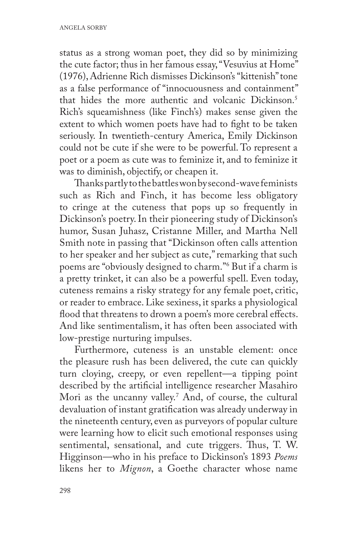status as a strong woman poet, they did so by minimizing the cute factor; thus in her famous essay, "Vesuvius at Home" (1976), Adrienne Rich dismisses Dickinson's "kittenish" tone as a false performance of "innocuousness and containment" that hides the more authentic and volcanic Dickinson.5 Rich's squeamishness (like Finch's) makes sense given the extent to which women poets have had to fight to be taken seriously. In twentieth-century America, Emily Dickinson could not be cute if she were to be powerful. To represent a poet or a poem as cute was to feminize it, and to feminize it was to diminish, objectify, or cheapen it.

Thanks partly to the battles won by second-wave feminists such as Rich and Finch, it has become less obligatory to cringe at the cuteness that pops up so frequently in Dickinson's poetry. In their pioneering study of Dickinson's humor, Susan Juhasz, Cristanne Miller, and Martha Nell Smith note in passing that "Dickinson often calls attention to her speaker and her subject as cute," remarking that such poems are "obviously designed to charm."6 But if a charm is a pretty trinket, it can also be a powerful spell. Even today, cuteness remains a risky strategy for any female poet, critic, or reader to embrace. Like sexiness, it sparks a physiological flood that threatens to drown a poem's more cerebral effects. And like sentimentalism, it has often been associated with low-prestige nurturing impulses.

Furthermore, cuteness is an unstable element: once the pleasure rush has been delivered, the cute can quickly turn cloying, creepy, or even repellent—a tipping point described by the artificial intelligence researcher Masahiro Mori as the uncanny valley.7 And, of course, the cultural devaluation of instant gratification was already underway in the nineteenth century, even as purveyors of popular culture were learning how to elicit such emotional responses using sentimental, sensational, and cute triggers. Thus, T. W. Higginson—who in his preface to Dickinson's 1893 *Poems*  likens her to *Mignon*, a Goethe character whose name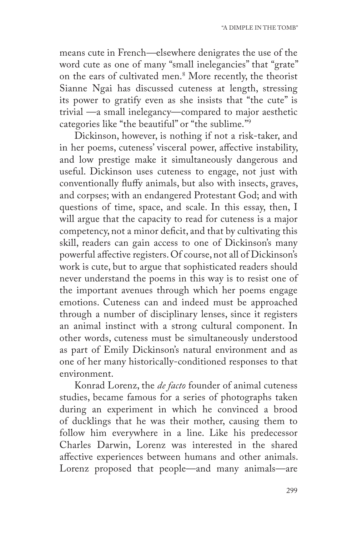means cute in French*—*elsewhere denigrates the use of the word cute as one of many "small inelegancies" that "grate" on the ears of cultivated men.8 More recently, the theorist Sianne Ngai has discussed cuteness at length, stressing its power to gratify even as she insists that "the cute" is trivial —a small inelegancy—compared to major aesthetic categories like "the beautiful" or "the sublime."9

Dickinson, however, is nothing if not a risk-taker, and in her poems, cuteness' visceral power, affective instability, and low prestige make it simultaneously dangerous and useful. Dickinson uses cuteness to engage, not just with conventionally fluffy animals, but also with insects, graves, and corpses; with an endangered Protestant God; and with questions of time, space, and scale. In this essay, then, I will argue that the capacity to read for cuteness is a major competency, not a minor deficit, and that by cultivating this skill, readers can gain access to one of Dickinson's many powerful affective registers. Of course, not all of Dickinson's work is cute, but to argue that sophisticated readers should never understand the poems in this way is to resist one of the important avenues through which her poems engage emotions. Cuteness can and indeed must be approached through a number of disciplinary lenses, since it registers an animal instinct with a strong cultural component. In other words, cuteness must be simultaneously understood as part of Emily Dickinson's natural environment and as one of her many historically-conditioned responses to that environment.

Konrad Lorenz, the *de facto* founder of animal cuteness studies, became famous for a series of photographs taken during an experiment in which he convinced a brood of ducklings that he was their mother, causing them to follow him everywhere in a line. Like his predecessor Charles Darwin, Lorenz was interested in the shared affective experiences between humans and other animals. Lorenz proposed that people—and many animals—are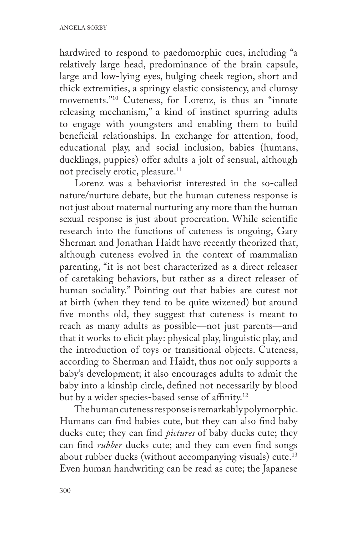hardwired to respond to paedomorphic cues, including "a relatively large head, predominance of the brain capsule, large and low-lying eyes, bulging cheek region, short and thick extremities, a springy elastic consistency, and clumsy movements."10 Cuteness, for Lorenz, is thus an "innate releasing mechanism," a kind of instinct spurring adults to engage with youngsters and enabling them to build beneficial relationships. In exchange for attention, food, educational play, and social inclusion, babies (humans, ducklings, puppies) offer adults a jolt of sensual, although not precisely erotic, pleasure.<sup>11</sup>

Lorenz was a behaviorist interested in the so-called nature/nurture debate, but the human cuteness response is not just about maternal nurturing any more than the human sexual response is just about procreation. While scientific research into the functions of cuteness is ongoing, Gary Sherman and Jonathan Haidt have recently theorized that, although cuteness evolved in the context of mammalian parenting, "it is not best characterized as a direct releaser of caretaking behaviors, but rather as a direct releaser of human sociality." Pointing out that babies are cutest not at birth (when they tend to be quite wizened) but around five months old, they suggest that cuteness is meant to reach as many adults as possible—not just parents—and that it works to elicit play: physical play, linguistic play, and the introduction of toys or transitional objects. Cuteness, according to Sherman and Haidt, thus not only supports a baby's development; it also encourages adults to admit the baby into a kinship circle, defined not necessarily by blood but by a wider species-based sense of affinity.<sup>12</sup>

The human cuteness response is remarkably polymorphic. Humans can find babies cute, but they can also find baby ducks cute; they can find *pictures* of baby ducks cute; they can find *rubber* ducks cute; and they can even find songs about rubber ducks (without accompanying visuals) cute.<sup>13</sup> Even human handwriting can be read as cute; the Japanese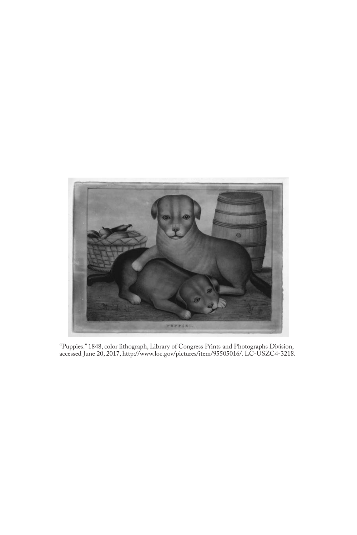

"Puppies." 1848, color lithograph, Library of Congress Prints and Photographs Division, accessed June 20, 2017, http://www.loc.gov/pictures/item/95505016/. LC-USZC4-3218.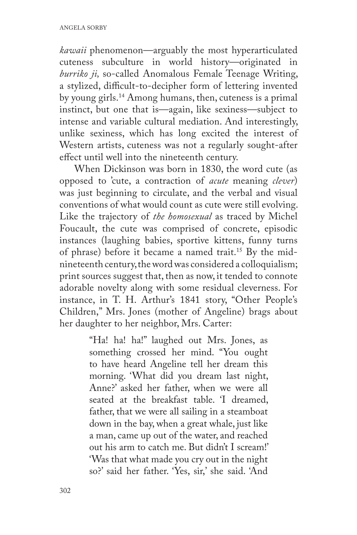*kawaii* phenomenon—arguably the most hyperarticulated cuteness subculture in world history—originated in *burriko ji,* so-called Anomalous Female Teenage Writing, a stylized, difficult-to-decipher form of lettering invented by young girls.14 Among humans, then, cuteness is a primal instinct, but one that is—again, like sexiness—subject to intense and variable cultural mediation. And interestingly, unlike sexiness, which has long excited the interest of Western artists, cuteness was not a regularly sought-after effect until well into the nineteenth century.

When Dickinson was born in 1830, the word cute (as opposed to 'cute, a contraction of *acute* meaning *clever*) was just beginning to circulate, and the verbal and visual conventions of what would count as cute were still evolving. Like the trajectory of *the homosexual* as traced by Michel Foucault, the cute was comprised of concrete, episodic instances (laughing babies, sportive kittens, funny turns of phrase) before it became a named trait.<sup>15</sup> By the midnineteenth century, the word was considered a colloquialism; print sources suggest that, then as now, it tended to connote adorable novelty along with some residual cleverness. For instance, in T. H. Arthur's 1841 story, "Other People's Children," Mrs. Jones (mother of Angeline) brags about her daughter to her neighbor, Mrs. Carter:

> "Ha! ha! ha!" laughed out Mrs. Jones, as something crossed her mind. "You ought to have heard Angeline tell her dream this morning. 'What did you dream last night, Anne?' asked her father, when we were all seated at the breakfast table. 'I dreamed, father, that we were all sailing in a steamboat down in the bay, when a great whale, just like a man, came up out of the water, and reached out his arm to catch me. But didn't I scream!' 'Was that what made you cry out in the night so?' said her father. 'Yes, sir,' she said. 'And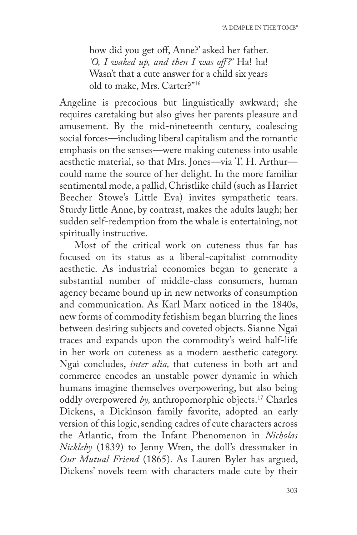how did you get off, Anne?' asked her father. *'O, I waked up, and then I was off?'* Ha! ha! Wasn't that a cute answer for a child six years old to make, Mrs. Carter?"16

Angeline is precocious but linguistically awkward; she requires caretaking but also gives her parents pleasure and amusement. By the mid-nineteenth century, coalescing social forces—including liberal capitalism and the romantic emphasis on the senses—were making cuteness into usable aesthetic material, so that Mrs. Jones—via T. H. Arthur could name the source of her delight. In the more familiar sentimental mode, a pallid, Christlike child (such as Harriet Beecher Stowe's Little Eva) invites sympathetic tears. Sturdy little Anne, by contrast, makes the adults laugh; her sudden self-redemption from the whale is entertaining, not spiritually instructive.

Most of the critical work on cuteness thus far has focused on its status as a liberal-capitalist commodity aesthetic. As industrial economies began to generate a substantial number of middle-class consumers, human agency became bound up in new networks of consumption and communication. As Karl Marx noticed in the 1840s, new forms of commodity fetishism began blurring the lines between desiring subjects and coveted objects. Sianne Ngai traces and expands upon the commodity's weird half-life in her work on cuteness as a modern aesthetic category. Ngai concludes, *inter alia,* that cuteness in both art and commerce encodes an unstable power dynamic in which humans imagine themselves overpowering, but also being oddly overpowered *by,* anthropomorphic objects.17 Charles Dickens, a Dickinson family favorite, adopted an early version of this logic, sending cadres of cute characters across the Atlantic, from the Infant Phenomenon in *Nicholas Nickleby* (1839) to Jenny Wren, the doll's dressmaker in *Our Mutual Friend* (1865). As Lauren Byler has argued, Dickens' novels teem with characters made cute by their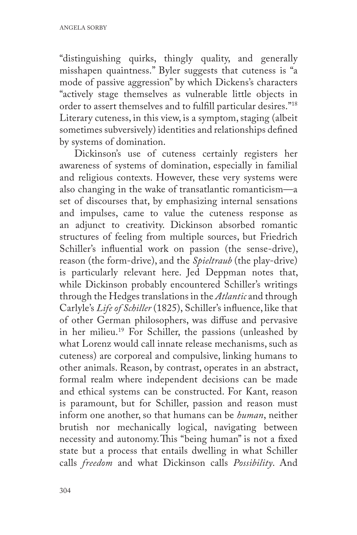"distinguishing quirks, thingly quality, and generally misshapen quaintness." Byler suggests that cuteness is "a mode of passive aggression" by which Dickens's characters "actively stage themselves as vulnerable little objects in order to assert themselves and to fulfill particular desires."18 Literary cuteness, in this view, is a symptom, staging (albeit sometimes subversively) identities and relationships defined by systems of domination.

Dickinson's use of cuteness certainly registers her awareness of systems of domination, especially in familial and religious contexts. However, these very systems were also changing in the wake of transatlantic romanticism—a set of discourses that, by emphasizing internal sensations and impulses, came to value the cuteness response as an adjunct to creativity. Dickinson absorbed romantic structures of feeling from multiple sources, but Friedrich Schiller's influential work on passion (the sense-drive), reason (the form-drive), and the *Spieltraub* (the play-drive) is particularly relevant here. Jed Deppman notes that, while Dickinson probably encountered Schiller's writings through the Hedges translations in the *Atlantic* and through Carlyle's *Life of Schiller* (1825), Schiller's influence, like that of other German philosophers, was diffuse and pervasive in her milieu.19 For Schiller, the passions (unleashed by what Lorenz would call innate release mechanisms, such as cuteness) are corporeal and compulsive, linking humans to other animals. Reason, by contrast, operates in an abstract, formal realm where independent decisions can be made and ethical systems can be constructed. For Kant, reason is paramount, but for Schiller, passion and reason must inform one another, so that humans can be *human*, neither brutish nor mechanically logical, navigating between necessity and autonomy.This "being human" is not a fixed state but a process that entails dwelling in what Schiller calls *freedom* and what Dickinson calls *Possibility*. And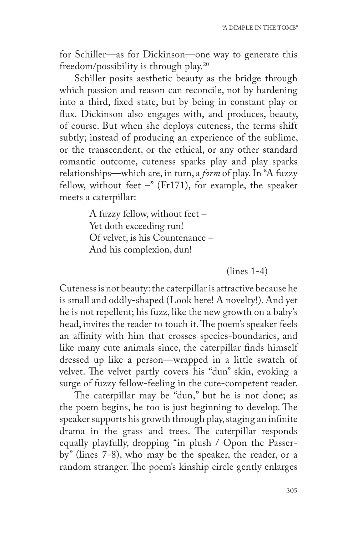for Schiller—as for Dickinson—one way to generate this freedom/possibility is through play.20

Schiller posits aesthetic beauty as the bridge through which passion and reason can reconcile, not by hardening into a third, fixed state, but by being in constant play or flux. Dickinson also engages with, and produces, beauty, of course. But when she deploys cuteness, the terms shift subtly; instead of producing an experience of the sublime, or the transcendent, or the ethical, or any other standard romantic outcome, cuteness sparks play and play sparks relationships—which are, in turn, a *form* of play. In "A fuzzy fellow, without feet  $-$ " (Fr171), for example, the speaker meets a caterpillar:

> A fuzzy fellow, without feet – Yet doth exceeding run! Of velvet, is his Countenance – And his complexion, dun!

> > (lines 1-4)

Cuteness is not beauty: the caterpillar is attractive because he is small and oddly-shaped (Look here! A novelty!). And yet he is not repellent; his fuzz, like the new growth on a baby's head, invites the reader to touch it. The poem's speaker feels an affinity with him that crosses species-boundaries, and like many cute animals since, the caterpillar finds himself dressed up like a person—wrapped in a little swatch of velvet. The velvet partly covers his "dun" skin, evoking a surge of fuzzy fellow-feeling in the cute-competent reader.

The caterpillar may be "dun," but he is not done; as the poem begins, he too is just beginning to develop. The speaker supports his growth through play, staging an infinite drama in the grass and trees. The caterpillar responds equally playfully, dropping "in plush / Opon the Passerby" (lines 7-8), who may be the speaker, the reader, or a random stranger. The poem's kinship circle gently enlarges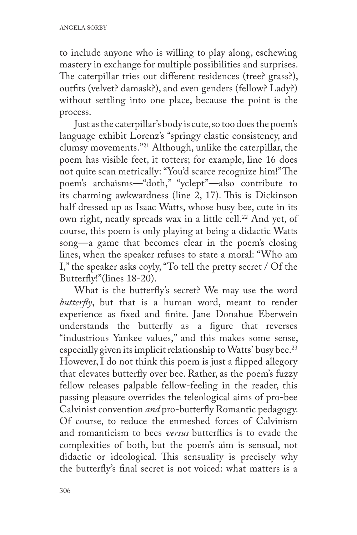to include anyone who is willing to play along, eschewing mastery in exchange for multiple possibilities and surprises. The caterpillar tries out different residences (tree? grass?), outfits (velvet? damask?), and even genders (fellow? Lady?) without settling into one place, because the point is the process.

Just as the caterpillar's body is cute, so too does the poem's language exhibit Lorenz's "springy elastic consistency, and clumsy movements."21 Although, unlike the caterpillar, the poem has visible feet, it totters; for example, line 16 does not quite scan metrically: "You'd scarce recognize him!" The poem's archaisms—"doth," "yclept"—also contribute to its charming awkwardness (line 2, 17). This is Dickinson half dressed up as Isaac Watts, whose busy bee, cute in its own right, neatly spreads wax in a little cell.<sup>22</sup> And yet, of course, this poem is only playing at being a didactic Watts song—a game that becomes clear in the poem's closing lines, when the speaker refuses to state a moral: "Who am I," the speaker asks coyly, "To tell the pretty secret / Of the Butterfly!"(lines 18-20).

What is the butterfly's secret? We may use the word *butterfly*, but that is a human word, meant to render experience as fixed and finite. Jane Donahue Eberwein understands the butterfly as a figure that reverses "industrious Yankee values," and this makes some sense, especially given its implicit relationship to Watts' busy bee.<sup>23</sup> However, I do not think this poem is just a flipped allegory that elevates butterfly over bee. Rather, as the poem's fuzzy fellow releases palpable fellow-feeling in the reader, this passing pleasure overrides the teleological aims of pro-bee Calvinist convention *and* pro-butterfly Romantic pedagogy. Of course, to reduce the enmeshed forces of Calvinism and romanticism to bees *versus* butterflies is to evade the complexities of both, but the poem's aim is sensual, not didactic or ideological. This sensuality is precisely why the butterfly's final secret is not voiced: what matters is a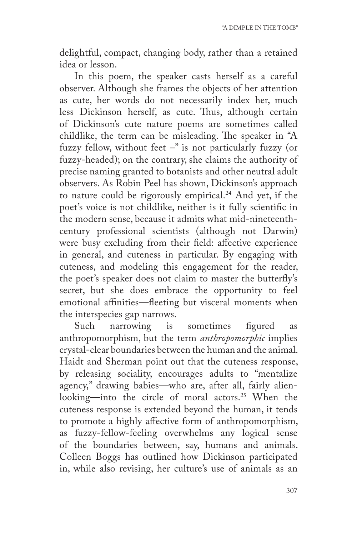delightful, compact, changing body, rather than a retained idea or lesson.

In this poem, the speaker casts herself as a careful observer. Although she frames the objects of her attention as cute, her words do not necessarily index her, much less Dickinson herself, as cute. Thus, although certain of Dickinson's cute nature poems are sometimes called childlike, the term can be misleading. The speaker in "A fuzzy fellow, without feet –" is not particularly fuzzy (or fuzzy-headed); on the contrary, she claims the authority of precise naming granted to botanists and other neutral adult observers. As Robin Peel has shown, Dickinson's approach to nature could be rigorously empirical.<sup>24</sup> And yet, if the poet's voice is not childlike, neither is it fully scientific in the modern sense, because it admits what mid-nineteenthcentury professional scientists (although not Darwin) were busy excluding from their field: affective experience in general, and cuteness in particular. By engaging with cuteness, and modeling this engagement for the reader, the poet's speaker does not claim to master the butterfly's secret, but she does embrace the opportunity to feel emotional affinities—fleeting but visceral moments when the interspecies gap narrows.

Such narrowing is sometimes figured as anthropomorphism, but the term *anthropomorphic* implies crystal-clear boundaries between the human and the animal. Haidt and Sherman point out that the cuteness response, by releasing sociality, encourages adults to "mentalize agency," drawing babies—who are, after all, fairly alienlooking—into the circle of moral actors.<sup>25</sup> When the cuteness response is extended beyond the human, it tends to promote a highly affective form of anthropomorphism, as fuzzy-fellow-feeling overwhelms any logical sense of the boundaries between, say, humans and animals. Colleen Boggs has outlined how Dickinson participated in, while also revising, her culture's use of animals as an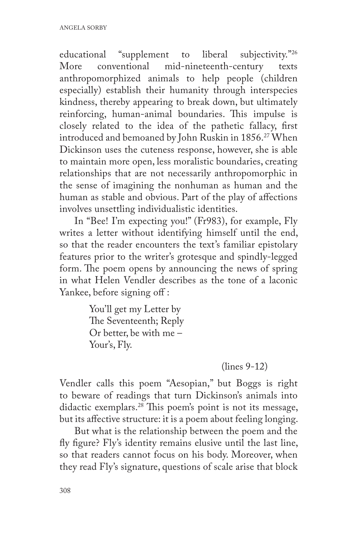educational "supplement to liberal subjectivity."26 More conventional mid-nineteenth-century texts anthropomorphized animals to help people (children especially) establish their humanity through interspecies kindness, thereby appearing to break down, but ultimately reinforcing, human-animal boundaries. This impulse is closely related to the idea of the pathetic fallacy, first introduced and bemoaned by John Ruskin in 1856.<sup>27</sup> When Dickinson uses the cuteness response, however, she is able to maintain more open, less moralistic boundaries, creating relationships that are not necessarily anthropomorphic in the sense of imagining the nonhuman as human and the human as stable and obvious. Part of the play of affections involves unsettling individualistic identities.

In "Bee! I'm expecting you!" (Fr983), for example, Fly writes a letter without identifying himself until the end, so that the reader encounters the text's familiar epistolary features prior to the writer's grotesque and spindly-legged form. The poem opens by announcing the news of spring in what Helen Vendler describes as the tone of a laconic Yankee, before signing off:

> You'll get my Letter by The Seventeenth; Reply Or better, be with me – Your's, Fly.

## (lines 9-12)

Vendler calls this poem "Aesopian," but Boggs is right to beware of readings that turn Dickinson's animals into didactic exemplars.28 This poem's point is not its message, but its affective structure: it is a poem about feeling longing.

But what is the relationship between the poem and the fly figure? Fly's identity remains elusive until the last line, so that readers cannot focus on his body. Moreover, when they read Fly's signature, questions of scale arise that block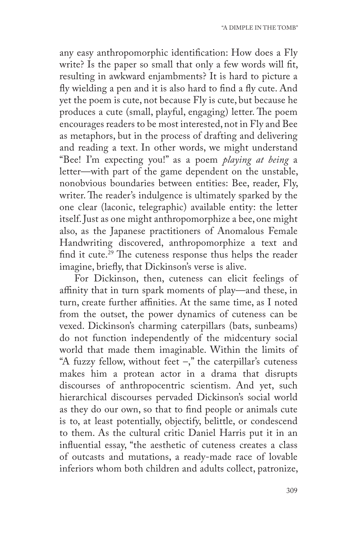any easy anthropomorphic identification: How does a Fly write? Is the paper so small that only a few words will fit, resulting in awkward enjambments? It is hard to picture a fly wielding a pen and it is also hard to find a fly cute. And yet the poem is cute, not because Fly is cute, but because he produces a cute (small, playful, engaging) letter. The poem encourages readers to be most interested, not in Fly and Bee as metaphors, but in the process of drafting and delivering and reading a text. In other words, we might understand "Bee! I'm expecting you!" as a poem *playing at being* a letter—with part of the game dependent on the unstable, nonobvious boundaries between entities: Bee, reader, Fly, writer. The reader's indulgence is ultimately sparked by the one clear (laconic, telegraphic) available entity: the letter itself. Just as one might anthropomorphize a bee, one might also, as the Japanese practitioners of Anomalous Female Handwriting discovered, anthropomorphize a text and find it cute.29 The cuteness response thus helps the reader imagine, briefly, that Dickinson's verse is alive.

For Dickinson, then, cuteness can elicit feelings of affinity that in turn spark moments of play—and these, in turn, create further affinities. At the same time, as I noted from the outset, the power dynamics of cuteness can be vexed. Dickinson's charming caterpillars (bats, sunbeams) do not function independently of the midcentury social world that made them imaginable. Within the limits of "A fuzzy fellow, without feet –," the caterpillar's cuteness makes him a protean actor in a drama that disrupts discourses of anthropocentric scientism. And yet, such hierarchical discourses pervaded Dickinson's social world as they do our own, so that to find people or animals cute is to, at least potentially, objectify, belittle, or condescend to them. As the cultural critic Daniel Harris put it in an influential essay, "the aesthetic of cuteness creates a class of outcasts and mutations, a ready-made race of lovable inferiors whom both children and adults collect, patronize,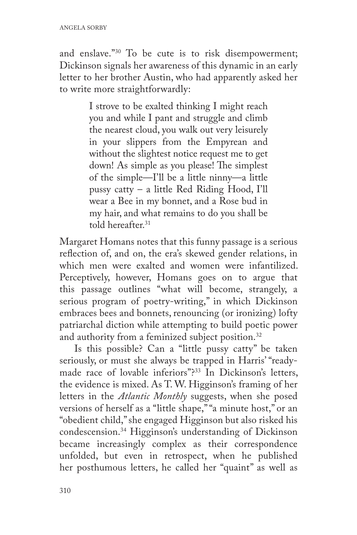and enslave."30 To be cute is to risk disempowerment; Dickinson signals her awareness of this dynamic in an early letter to her brother Austin, who had apparently asked her to write more straightforwardly:

> I strove to be exalted thinking I might reach you and while I pant and struggle and climb the nearest cloud, you walk out very leisurely in your slippers from the Empyrean and without the slightest notice request me to get down! As simple as you please! The simplest of the simple—I'll be a little ninny—a little pussy catty – a little Red Riding Hood, I'll wear a Bee in my bonnet, and a Rose bud in my hair, and what remains to do you shall be told hereafter.<sup>31</sup>

Margaret Homans notes that this funny passage is a serious reflection of, and on, the era's skewed gender relations, in which men were exalted and women were infantilized. Perceptively, however, Homans goes on to argue that this passage outlines "what will become, strangely, a serious program of poetry-writing," in which Dickinson embraces bees and bonnets, renouncing (or ironizing) lofty patriarchal diction while attempting to build poetic power and authority from a feminized subject position.<sup>32</sup>

Is this possible? Can a "little pussy catty" be taken seriously, or must she always be trapped in Harris' "readymade race of lovable inferiors"?33 In Dickinson's letters, the evidence is mixed. As T. W. Higginson's framing of her letters in the *Atlantic Monthly* suggests, when she posed versions of herself as a "little shape," "a minute host," or an "obedient child," she engaged Higginson but also risked his condescension.34 Higginson's understanding of Dickinson became increasingly complex as their correspondence unfolded, but even in retrospect, when he published her posthumous letters, he called her "quaint" as well as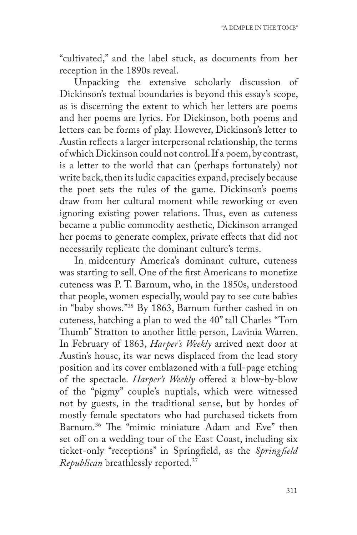"cultivated," and the label stuck, as documents from her reception in the 1890s reveal.

Unpacking the extensive scholarly discussion of Dickinson's textual boundaries is beyond this essay's scope, as is discerning the extent to which her letters are poems and her poems are lyrics. For Dickinson, both poems and letters can be forms of play. However, Dickinson's letter to Austin reflects a larger interpersonal relationship, the terms of which Dickinson could not control. If a poem, by contrast, is a letter to the world that can (perhaps fortunately) not write back, then its ludic capacities expand, precisely because the poet sets the rules of the game. Dickinson's poems draw from her cultural moment while reworking or even ignoring existing power relations. Thus, even as cuteness became a public commodity aesthetic, Dickinson arranged her poems to generate complex, private effects that did not necessarily replicate the dominant culture's terms.

In midcentury America's dominant culture, cuteness was starting to sell. One of the first Americans to monetize cuteness was P. T. Barnum, who, in the 1850s, understood that people, women especially, would pay to see cute babies in "baby shows."35 By 1863, Barnum further cashed in on cuteness, hatching a plan to wed the 40" tall Charles "Tom Thumb" Stratton to another little person, Lavinia Warren. In February of 1863, *Harper's Weekly* arrived next door at Austin's house, its war news displaced from the lead story position and its cover emblazoned with a full-page etching of the spectacle. *Harper's Weekly* offered a blow-by-blow of the "pigmy" couple's nuptials, which were witnessed not by guests, in the traditional sense, but by hordes of mostly female spectators who had purchased tickets from Barnum.36 The "mimic miniature Adam and Eve" then set off on a wedding tour of the East Coast, including six ticket-only "receptions" in Springfield, as the *Springfield Republican* breathlessly reported.37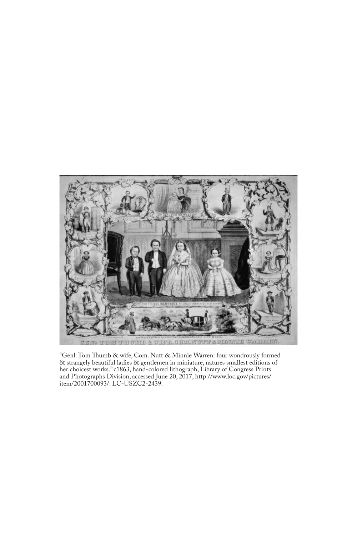

"Genl. Tom Thumb & wife, Com. Nutt & Minnie Warren: four wondrously formed & strangely beautiful ladies & gentlemen in miniature, natures smallest editions of her choicest works." c1863, hand-colored lithograph, Library of Congress Prints and Photographs Division, accessed June 20, 2017, http://www.loc.gov/pictures/ item/2001700093/. LC-USZC2-2439.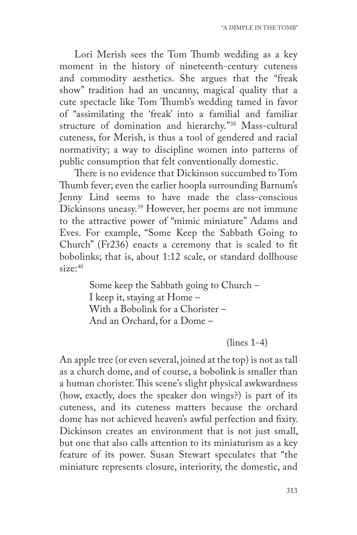Lori Merish sees the Tom Thumb wedding as a key moment in the history of nineteenth-century cuteness and commodity aesthetics. She argues that the "freak show" tradition had an uncanny, magical quality that a cute spectacle like Tom Thumb's wedding tamed in favor of "assimilating the 'freak' into a familial and familiar structure of domination and hierarchy."38 Mass-cultural cuteness, for Merish, is thus a tool of gendered and racial normativity; a way to discipline women into patterns of public consumption that felt conventionally domestic.

There is no evidence that Dickinson succumbed to Tom Thumb fever; even the earlier hoopla surrounding Barnum's Jenny Lind seems to have made the class-conscious Dickinsons uneasy.39 However, her poems are not immune to the attractive power of "mimic miniature" Adams and Eves. For example, "Some Keep the Sabbath Going to Church" (Fr236) enacts a ceremony that is scaled to fit bobolinks; that is, about 1:12 scale, or standard dollhouse  $size:40$ 

> Some keep the Sabbath going to Church – I keep it, staying at Home – With a Bobolink for a Chorister – And an Orchard, for a Dome –

> > (lines 1-4)

An apple tree (or even several, joined at the top) is not as tall as a church dome, and of course, a bobolink is smaller than a human chorister. This scene's slight physical awkwardness (how, exactly, does the speaker don wings?) is part of its cuteness, and its cuteness matters because the orchard dome has not achieved heaven's awful perfection and fixity. Dickinson creates an environment that is not just small, but one that also calls attention to its miniaturism as a key feature of its power. Susan Stewart speculates that "the miniature represents closure, interiority, the domestic, and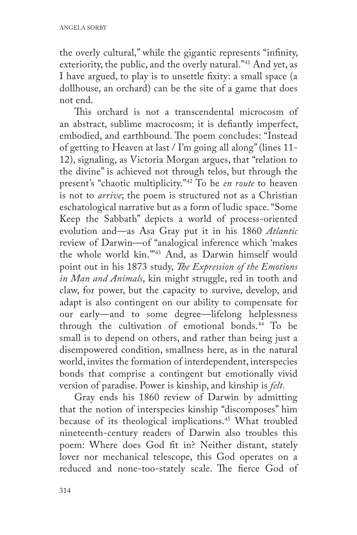the overly cultural," while the gigantic represents "infinity, exteriority, the public, and the overly natural."41 And yet, as I have argued, to play is to unsettle fixity: a small space (a dollhouse, an orchard) can be the site of a game that does not end.

This orchard is not a transcendental microcosm of an abstract, sublime macrocosm; it is defiantly imperfect, embodied, and earthbound. The poem concludes: "Instead of getting to Heaven at last / I'm going all along" (lines 11- 12), signaling, as Victoria Morgan argues, that "relation to the divine" is achieved not through telos, but through the present's "chaotic multiplicity."42 To be *en route* to heaven is not to *arrive*; the poem is structured not as a Christian eschatological narrative but as a form of ludic space. "Some Keep the Sabbath" depicts a world of process-oriented evolution and—as Asa Gray put it in his 1860 *Atlantic*  review of Darwin—of "analogical inference which 'makes the whole world kin.'"43 And, as Darwin himself would point out in his 1873 study, *The Expression of the Emotions in Man and Animals*, kin might struggle, red in tooth and claw, for power, but the capacity to survive, develop, and adapt is also contingent on our ability to compensate for our early—and to some degree—lifelong helplessness through the cultivation of emotional bonds.44 To be small is to depend on others, and rather than being just a disempowered condition, smallness here, as in the natural world, invites the formation of interdependent, interspecies bonds that comprise a contingent but emotionally vivid version of paradise. Power is kinship, and kinship is *felt.*

Gray ends his 1860 review of Darwin by admitting that the notion of interspecies kinship "discomposes" him because of its theological implications.<sup>45</sup> What troubled nineteenth-century readers of Darwin also troubles this poem: Where does God fit in? Neither distant, stately lover nor mechanical telescope, this God operates on a reduced and none-too-stately scale. The fierce God of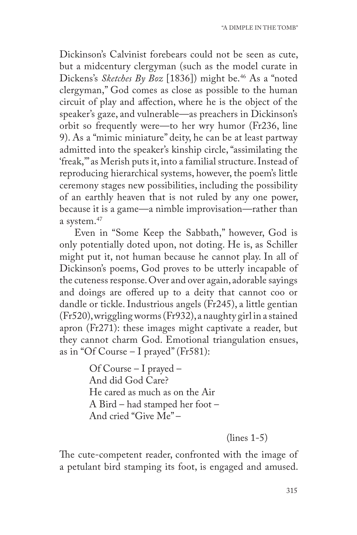Dickinson's Calvinist forebears could not be seen as cute, but a midcentury clergyman (such as the model curate in Dickens's *Sketches By Boz* [1836]) might be.<sup>46</sup> As a "noted clergyman," God comes as close as possible to the human circuit of play and affection, where he is the object of the speaker's gaze, and vulnerable—as preachers in Dickinson's orbit so frequently were—to her wry humor (Fr236, line 9). As a "mimic miniature" deity, he can be at least partway admitted into the speaker's kinship circle, "assimilating the 'freak,'" as Merish puts it, into a familial structure. Instead of reproducing hierarchical systems, however, the poem's little ceremony stages new possibilities, including the possibility of an earthly heaven that is not ruled by any one power, because it is a game—a nimble improvisation—rather than a system.47

Even in "Some Keep the Sabbath," however, God is only potentially doted upon, not doting. He is, as Schiller might put it, not human because he cannot play. In all of Dickinson's poems, God proves to be utterly incapable of the cuteness response. Over and over again, adorable sayings and doings are offered up to a deity that cannot coo or dandle or tickle. Industrious angels (Fr245), a little gentian (Fr520), wriggling worms (Fr932), a naughty girl in a stained apron (Fr271): these images might captivate a reader, but they cannot charm God. Emotional triangulation ensues, as in "Of Course – I prayed" (Fr581):

> Of Course – I prayed – And did God Care? He cared as much as on the Air A Bird – had stamped her foot – And cried "Give Me" –

> > (lines 1-5)

The cute-competent reader, confronted with the image of a petulant bird stamping its foot, is engaged and amused.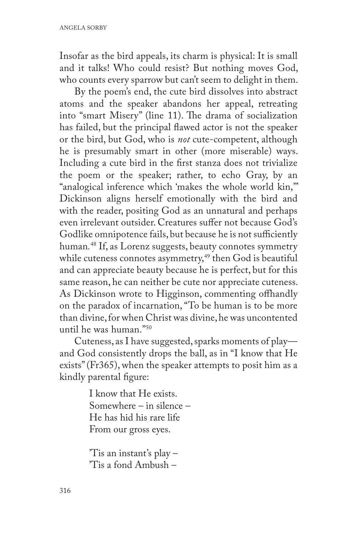Insofar as the bird appeals, its charm is physical: It is small and it talks! Who could resist? But nothing moves God, who counts every sparrow but can't seem to delight in them.

By the poem's end, the cute bird dissolves into abstract atoms and the speaker abandons her appeal, retreating into "smart Misery" (line 11). The drama of socialization has failed, but the principal flawed actor is not the speaker or the bird, but God, who is *not* cute-competent, although he is presumably smart in other (more miserable) ways. Including a cute bird in the first stanza does not trivialize the poem or the speaker; rather, to echo Gray, by an "analogical inference which 'makes the whole world kin," Dickinson aligns herself emotionally with the bird and with the reader, positing God as an unnatural and perhaps even irrelevant outsider. Creatures suffer not because God's Godlike omnipotence fails, but because he is not sufficiently human*.* 48 If, as Lorenz suggests, beauty connotes symmetry while cuteness connotes asymmetry, $49$  then God is beautiful and can appreciate beauty because he is perfect, but for this same reason, he can neither be cute nor appreciate cuteness. As Dickinson wrote to Higginson, commenting offhandly on the paradox of incarnation, "To be human is to be more than divine, for when Christ was divine, he was uncontented until he was human."50

Cuteness, as I have suggested, sparks moments of play and God consistently drops the ball, as in "I know that He exists" (Fr365), when the speaker attempts to posit him as a kindly parental figure:

> I know that He exists. Somewhere – in silence – He has hid his rare life From our gross eyes.

'Tis an instant's play – 'Tis a fond Ambush –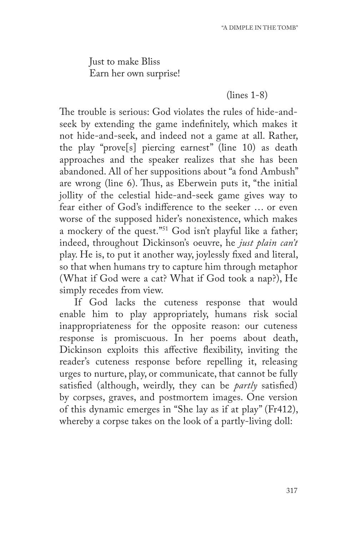Just to make Bliss Earn her own surprise!

### (lines 1-8)

The trouble is serious: God violates the rules of hide-andseek by extending the game indefinitely, which makes it not hide-and-seek, and indeed not a game at all. Rather, the play "prove[s] piercing earnest" (line 10) as death approaches and the speaker realizes that she has been abandoned. All of her suppositions about "a fond Ambush" are wrong (line 6). Thus, as Eberwein puts it, "the initial jollity of the celestial hide-and-seek game gives way to fear either of God's indifference to the seeker … or even worse of the supposed hider's nonexistence, which makes a mockery of the quest."51 God isn't playful like a father; indeed, throughout Dickinson's oeuvre, he *just plain can't* play. He is, to put it another way, joylessly fixed and literal, so that when humans try to capture him through metaphor (What if God were a cat? What if God took a nap?), He simply recedes from view.

If God lacks the cuteness response that would enable him to play appropriately, humans risk social inappropriateness for the opposite reason: our cuteness response is promiscuous. In her poems about death, Dickinson exploits this affective flexibility, inviting the reader's cuteness response before repelling it, releasing urges to nurture, play, or communicate, that cannot be fully satisfied (although, weirdly, they can be *partly* satisfied) by corpses, graves, and postmortem images. One version of this dynamic emerges in "She lay as if at play" (Fr412), whereby a corpse takes on the look of a partly-living doll: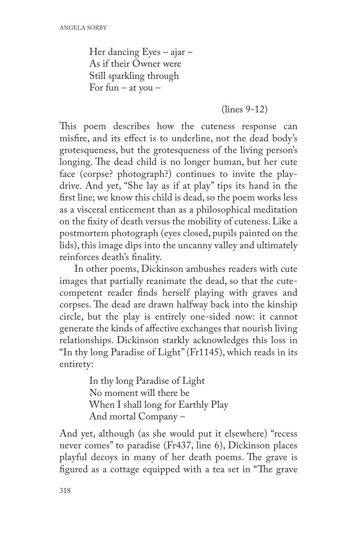Her dancing Eyes – ajar – As if their Owner were Still sparkling through For fun – at you –

(lines 9-12)

This poem describes how the cuteness response can misfire, and its effect is to underline, not the dead body's grotesqueness, but the grotesqueness of the living person's longing. The dead child is no longer human, but her cute face (corpse? photograph?) continues to invite the playdrive. And yet, "She lay as if at play" tips its hand in the first line; we know this child is dead, so the poem works less as a visceral enticement than as a philosophical meditation on the fixity of death versus the mobility of cuteness. Like a postmortem photograph (eyes closed, pupils painted on the lids), this image dips into the uncanny valley and ultimately reinforces death's finality.

In other poems, Dickinson ambushes readers with cute images that partially reanimate the dead, so that the cutecompetent reader finds herself playing with graves and corpses. The dead are drawn halfway back into the kinship circle, but the play is entirely one-sided now: it cannot generate the kinds of affective exchanges that nourish living relationships. Dickinson starkly acknowledges this loss in "In thy long Paradise of Light" (Fr1145), which reads in its entirety:

> In thy long Paradise of Light No moment will there be When I shall long for Earthly Play And mortal Company –

And yet, although (as she would put it elsewhere) "recess never comes" to paradise (Fr437, line 6), Dickinson places playful decoys in many of her death poems. The grave is figured as a cottage equipped with a tea set in "The grave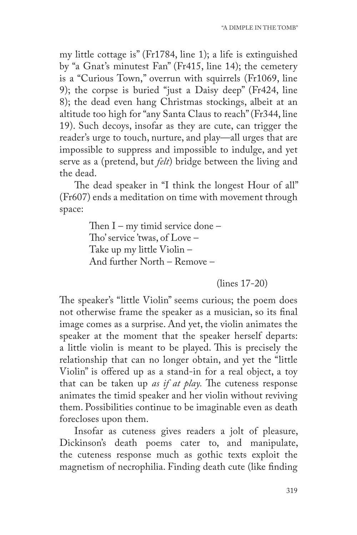my little cottage is" (Fr1784, line 1); a life is extinguished by "a Gnat's minutest Fan" (Fr415, line 14); the cemetery is a "Curious Town," overrun with squirrels (Fr1069, line 9); the corpse is buried "just a Daisy deep" (Fr424, line 8); the dead even hang Christmas stockings, albeit at an altitude too high for "any Santa Claus to reach" (Fr344, line 19). Such decoys, insofar as they are cute, can trigger the reader's urge to touch, nurture, and play—all urges that are impossible to suppress and impossible to indulge, and yet serve as a (pretend, but *felt*) bridge between the living and the dead.

The dead speaker in "I think the longest Hour of all" (Fr607) ends a meditation on time with movement through space:

> Then I – my timid service done – Tho' service 'twas, of Love – Take up my little Violin – And further North – Remove –

> > (lines 17-20)

The speaker's "little Violin" seems curious; the poem does not otherwise frame the speaker as a musician, so its final image comes as a surprise. And yet, the violin animates the speaker at the moment that the speaker herself departs: a little violin is meant to be played. This is precisely the relationship that can no longer obtain, and yet the "little Violin" is offered up as a stand-in for a real object, a toy that can be taken up *as if at play.* The cuteness response animates the timid speaker and her violin without reviving them. Possibilities continue to be imaginable even as death forecloses upon them.

Insofar as cuteness gives readers a jolt of pleasure, Dickinson's death poems cater to, and manipulate, the cuteness response much as gothic texts exploit the magnetism of necrophilia. Finding death cute (like finding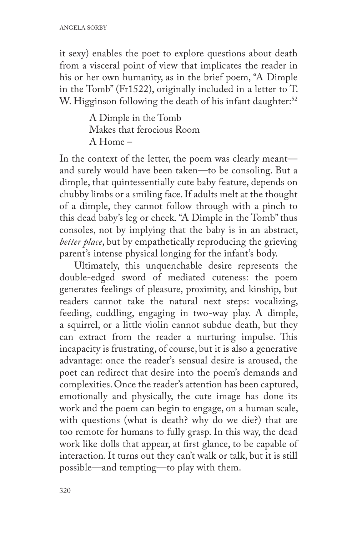it sexy) enables the poet to explore questions about death from a visceral point of view that implicates the reader in his or her own humanity, as in the brief poem, "A Dimple in the Tomb" (Fr1522), originally included in a letter to T. W. Higginson following the death of his infant daughter:<sup>52</sup>

> A Dimple in the Tomb Makes that ferocious Room A Home –

In the context of the letter, the poem was clearly meant and surely would have been taken—to be consoling. But a dimple, that quintessentially cute baby feature, depends on chubby limbs or a smiling face. If adults melt at the thought of a dimple, they cannot follow through with a pinch to this dead baby's leg or cheek. "A Dimple in the Tomb" thus consoles, not by implying that the baby is in an abstract, *better place*, but by empathetically reproducing the grieving parent's intense physical longing for the infant's body.

Ultimately, this unquenchable desire represents the double-edged sword of mediated cuteness: the poem generates feelings of pleasure, proximity, and kinship, but readers cannot take the natural next steps: vocalizing, feeding, cuddling, engaging in two-way play. A dimple, a squirrel, or a little violin cannot subdue death, but they can extract from the reader a nurturing impulse. This incapacity is frustrating, of course, but it is also a generative advantage: once the reader's sensual desire is aroused, the poet can redirect that desire into the poem's demands and complexities. Once the reader's attention has been captured, emotionally and physically, the cute image has done its work and the poem can begin to engage, on a human scale, with questions (what is death? why do we die?) that are too remote for humans to fully grasp. In this way, the dead work like dolls that appear, at first glance, to be capable of interaction. It turns out they can't walk or talk, but it is still possible—and tempting—to play with them.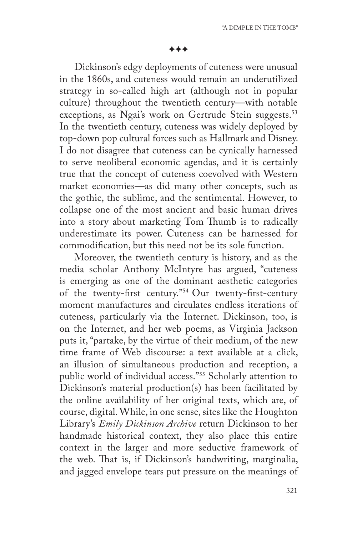#### $***$

Dickinson's edgy deployments of cuteness were unusual in the 1860s, and cuteness would remain an underutilized strategy in so-called high art (although not in popular culture) throughout the twentieth century—with notable exceptions, as Ngai's work on Gertrude Stein suggests.<sup>53</sup> In the twentieth century, cuteness was widely deployed by top-down pop cultural forces such as Hallmark and Disney. I do not disagree that cuteness can be cynically harnessed to serve neoliberal economic agendas, and it is certainly true that the concept of cuteness coevolved with Western market economies—as did many other concepts, such as the gothic, the sublime, and the sentimental. However, to collapse one of the most ancient and basic human drives into a story about marketing Tom Thumb is to radically underestimate its power. Cuteness can be harnessed for commodification, but this need not be its sole function.

Moreover, the twentieth century is history, and as the media scholar Anthony McIntyre has argued, "cuteness is emerging as one of the dominant aesthetic categories of the twenty-first century."54 Our twenty-first-century moment manufactures and circulates endless iterations of cuteness, particularly via the Internet. Dickinson, too, is on the Internet, and her web poems, as Virginia Jackson puts it, "partake, by the virtue of their medium, of the new time frame of Web discourse: a text available at a click, an illusion of simultaneous production and reception, a public world of individual access."55 Scholarly attention to Dickinson's material production(s) has been facilitated by the online availability of her original texts, which are, of course, digital. While, in one sense, sites like the Houghton Library's *Emily Dickinson Archive* return Dickinson to her handmade historical context, they also place this entire context in the larger and more seductive framework of the web. That is, if Dickinson's handwriting, marginalia, and jagged envelope tears put pressure on the meanings of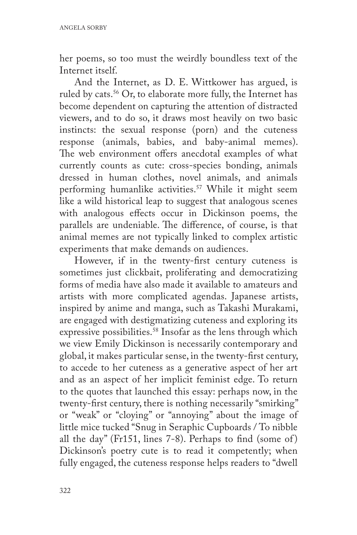her poems, so too must the weirdly boundless text of the Internet itself.

And the Internet, as D. E. Wittkower has argued, is ruled by cats.<sup>56</sup> Or, to elaborate more fully, the Internet has become dependent on capturing the attention of distracted viewers, and to do so, it draws most heavily on two basic instincts: the sexual response (porn) and the cuteness response (animals, babies, and baby-animal memes). The web environment offers anecdotal examples of what currently counts as cute: cross-species bonding, animals dressed in human clothes, novel animals, and animals performing humanlike activities.<sup>57</sup> While it might seem like a wild historical leap to suggest that analogous scenes with analogous effects occur in Dickinson poems, the parallels are undeniable. The difference, of course, is that animal memes are not typically linked to complex artistic experiments that make demands on audiences.

However, if in the twenty-first century cuteness is sometimes just clickbait, proliferating and democratizing forms of media have also made it available to amateurs and artists with more complicated agendas. Japanese artists, inspired by anime and manga, such as Takashi Murakami, are engaged with destigmatizing cuteness and exploring its expressive possibilities.58 Insofar as the lens through which we view Emily Dickinson is necessarily contemporary and global, it makes particular sense, in the twenty-first century, to accede to her cuteness as a generative aspect of her art and as an aspect of her implicit feminist edge. To return to the quotes that launched this essay: perhaps now, in the twenty-first century, there is nothing necessarily "smirking" or "weak" or "cloying" or "annoying" about the image of little mice tucked "Snug in Seraphic Cupboards / To nibble all the day" (Fr151, lines 7-8). Perhaps to find (some of ) Dickinson's poetry cute is to read it competently; when fully engaged, the cuteness response helps readers to "dwell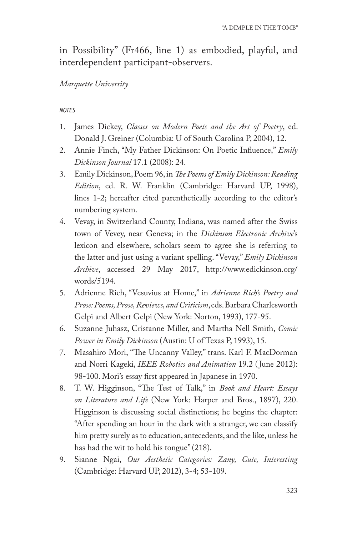in Possibility" (Fr466, line 1) as embodied, playful, and interdependent participant-observers.

#### *Marquette University*

#### *NOTES*

- 1. James Dickey, *Classes on Modern Poets and the Art of Poetry*, ed. Donald J. Greiner (Columbia: U of South Carolina P, 2004), 12.
- 2. Annie Finch, "My Father Dickinson: On Poetic Influence," *Emily Dickinson Journal* 17.1 (2008): 24.
- 3. Emily Dickinson, Poem 96, in *The Poems of Emily Dickinson: Reading Edition*, ed. R. W. Franklin (Cambridge: Harvard UP, 1998), lines 1-2; hereafter cited parenthetically according to the editor's numbering system.
- 4. Vevay, in Switzerland County, Indiana, was named after the Swiss town of Vevey, near Geneva; in the *Dickinson Electronic Archive*'s lexicon and elsewhere, scholars seem to agree she is referring to the latter and just using a variant spelling. "Vevay," *Emily Dickinson Archive*, accessed 29 May 2017, http://www.edickinson.org/ words/5194.
- 5. Adrienne Rich, "Vesuvius at Home," in *Adrienne Rich's Poetry and Prose: Poems, Prose, Reviews, and Criticism*, eds. Barbara Charlesworth Gelpi and Albert Gelpi (New York: Norton, 1993), 177-95.
- 6. Suzanne Juhasz, Cristanne Miller, and Martha Nell Smith, *Comic Power in Emily Dickinson* (Austin: U of Texas P, 1993), 15.
- 7. Masahiro Mori, "The Uncanny Valley," trans. Karl F. MacDorman and Norri Kageki, *IEEE Robotics and Animation* 19.2 ( June 2012): 98-100. Mori's essay first appeared in Japanese in 1970.
- 8. T. W. Higginson, "The Test of Talk," in *Book and Heart: Essays on Literature and Life* (New York: Harper and Bros., 1897), 220. Higginson is discussing social distinctions; he begins the chapter: "After spending an hour in the dark with a stranger, we can classify him pretty surely as to education, antecedents, and the like, unless he has had the wit to hold his tongue" (218).
- 9. Sianne Ngai, *Our Aesthetic Categories: Zany, Cute, Interesting*  (Cambridge: Harvard UP, 2012), 3-4; 53-109.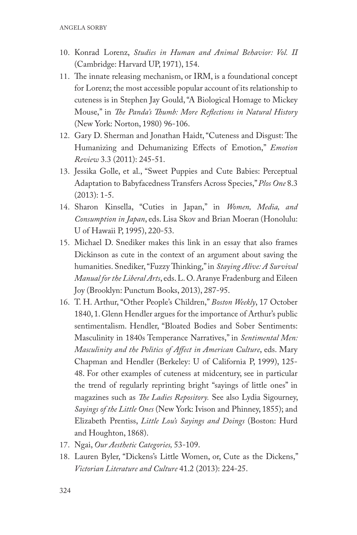- 10. Konrad Lorenz, *Studies in Human and Animal Behavior: Vol. II*  (Cambridge: Harvard UP, 1971), 154.
- 11. The innate releasing mechanism, or IRM, is a foundational concept for Lorenz; the most accessible popular account of its relationship to cuteness is in Stephen Jay Gould, "A Biological Homage to Mickey Mouse," in *The Panda's Thumb: More Reflections in Natural History*  (New York: Norton, 1980) 96-106.
- 12. Gary D. Sherman and Jonathan Haidt, "Cuteness and Disgust: The Humanizing and Dehumanizing Effects of Emotion," *Emotion Review* 3.3 (2011): 245-51.
- 13. Jessika Golle, et al., "Sweet Puppies and Cute Babies: Perceptual Adaptation to Babyfacedness Transfers Across Species," *Plos One* 8.3 (2013): 1-5.
- 14. Sharon Kinsella, "Cuties in Japan," in *Women, Media, and Consumption in Japan*, eds. Lisa Skov and Brian Moeran (Honolulu: U of Hawaii P, 1995), 220-53.
- 15. Michael D. Snediker makes this link in an essay that also frames Dickinson as cute in the context of an argument about saving the humanities. Snediker, "Fuzzy Thinking," in *Staying Alive: A Survival Manual for the Liberal Arts*, eds. L. O. Aranye Fradenburg and Eileen Joy (Brooklyn: Punctum Books, 2013), 287-95.
- 16. T. H. Arthur, "Other People's Children," *Boston Weekly*, 17 October 1840, 1. Glenn Hendler argues for the importance of Arthur's public sentimentalism. Hendler, "Bloated Bodies and Sober Sentiments: Masculinity in 1840s Temperance Narratives," in *Sentimental Men: Masculinity and the Politics of Affect in American Culture*, eds. Mary Chapman and Hendler (Berkeley: U of California P, 1999), 125- 48. For other examples of cuteness at midcentury, see in particular the trend of regularly reprinting bright "sayings of little ones" in magazines such as *The Ladies Repository.* See also Lydia Sigourney, *Sayings of the Little Ones* (New York: Ivison and Phinney, 1855); and Elizabeth Prentiss, *Little Lou's Sayings and Doings* (Boston: Hurd and Houghton, 1868).
- 17. Ngai, *Our Aesthetic Categories,* 53-109.
- 18. Lauren Byler, "Dickens's Little Women, or, Cute as the Dickens," *Victorian Literature and Culture* 41.2 (2013): 224-25.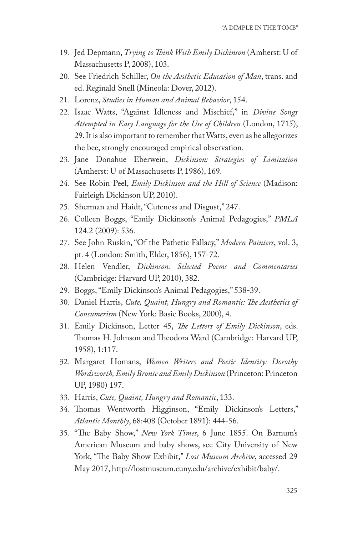- 19. Jed Depmann, *Trying to Think With Emily Dickinson* (Amherst: U of Massachusetts P, 2008), 103.
- 20. See Friedrich Schiller, *On the Aesthetic Education of Man*, trans. and ed. Reginald Snell (Mineola: Dover, 2012).
- 21. Lorenz, *Studies in Human and Animal Behavior*, 154.
- 22. Isaac Watts, "Against Idleness and Mischief," in *Divine Songs Attempted in Easy Language for the Use of Children* (London, 1715), 29. It is also important to remember that Watts, even as he allegorizes the bee, strongly encouraged empirical observation.
- 23. Jane Donahue Eberwein, *Dickinson: Strategies of Limitation*  (Amherst: U of Massachusetts P, 1986), 169.
- 24. See Robin Peel, *Emily Dickinson and the Hill of Science* (Madison: Fairleigh Dickinson UP, 2010).
- 25. Sherman and Haidt, "Cuteness and Disgust," 247.
- 26. Colleen Boggs, "Emily Dickinson's Animal Pedagogies," *PMLA*  124.2 (2009): 536.
- 27. See John Ruskin, "Of the Pathetic Fallacy," *Modern Painters*, vol. 3, pt. 4 (London: Smith, Elder, 1856), 157-72.
- 28. Helen Vendler, *Dickinson: Selected Poems and Commentaries*  (Cambridge: Harvard UP, 2010), 382.
- 29. Boggs, "Emily Dickinson's Animal Pedagogies," 538-39.
- 30. Daniel Harris, *Cute, Quaint, Hungry and Romantic: The Aesthetics of Consumerism* (New York: Basic Books, 2000), 4.
- 31. Emily Dickinson, Letter 45, *The Letters of Emily Dickinson*, eds. Thomas H. Johnson and Theodora Ward (Cambridge: Harvard UP, 1958), 1:117.
- 32. Margaret Homans, *Women Writers and Poetic Identity: Dorothy Wordsworth, Emily Bronte and Emily Dickinson* (Princeton: Princeton UP, 1980) 197.
- 33. Harris, *Cute, Quaint, Hungry and Romantic*, 133.
- 34. Thomas Wentworth Higginson, "Emily Dickinson's Letters," *Atlantic Monthly*, 68:408 (October 1891): 444-56.
- 35. "The Baby Show," *New York Times*, 6 June 1855. On Barnum's American Museum and baby shows, see City University of New York, "The Baby Show Exhibit," *Lost Museum Archive*, accessed 29 May 2017, http://lostmuseum.cuny.edu/archive/exhibit/baby/.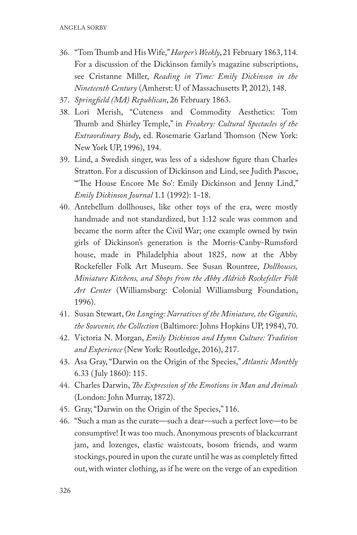- 36. "Tom Thumb and His Wife," *Harper's Weekly*, 21 February 1863, 114. For a discussion of the Dickinson family's magazine subscriptions, see Cristanne Miller, *Reading in Time: Emily Dickinson in the Nineteenth Century* (Amherst: U of Massachusetts P, 2012), 148.
- 37. *Springfield (MA) Republican*, 26 February 1863.
- 38. Lori Merish, "Cuteness and Commodity Aesthetics: Tom Thumb and Shirley Temple," in *Freakery: Cultural Spectacles of the Extraordinary Body*, ed. Rosemarie Garland Thomson (New York: New York UP, 1996), 194.
- 39. Lind, a Swedish singer, was less of a sideshow figure than Charles Stratton. For a discussion of Dickinson and Lind, see Judith Pascoe, "'The House Encore Me So': Emily Dickinson and Jenny Lind," *Emily Dickinson Journal* 1.1 (1992): 1-18.
- 40. Antebellum dollhouses, like other toys of the era, were mostly handmade and not standardized, but 1:12 scale was common and became the norm after the Civil War; one example owned by twin girls of Dickinson's generation is the Morris-Canby-Rumsford house, made in Philadelphia about 1825, now at the Abby Rockefeller Folk Art Museum. See Susan Rountree, *Dollhouses, Miniature Kitchens, and Shops from the Abby Aldrich Rockefeller Folk Art Center* (Williamsburg: Colonial Williamsburg Foundation, 1996).
- 41. Susan Stewart, *On Longing: Narratives of the Miniature, the Gigantic, the Souvenir, the Collection* (Baltimore: Johns Hopkins UP, 1984), 70.
- 42. Victoria N. Morgan, *Emily Dickinson and Hymn Culture: Tradition and Experience* (New York: Routledge, 2016), 217.
- 43. Asa Gray, "Darwin on the Origin of the Species," *Atlantic Monthly*  6.33 ( July 1860): 115.
- 44. Charles Darwin, *The Expression of the Emotions in Man and Animals*  (London: John Murray, 1872).
- 45. Gray, "Darwin on the Origin of the Species," 116.
- 46. "Such a man as the curate—such a dear—such a perfect love—to be consumptive! It was too much. Anonymous presents of blackcurrant jam, and lozenges, elastic waistcoats, bosom friends, and warm stockings, poured in upon the curate until he was as completely fitted out, with winter clothing, as if he were on the verge of an expedition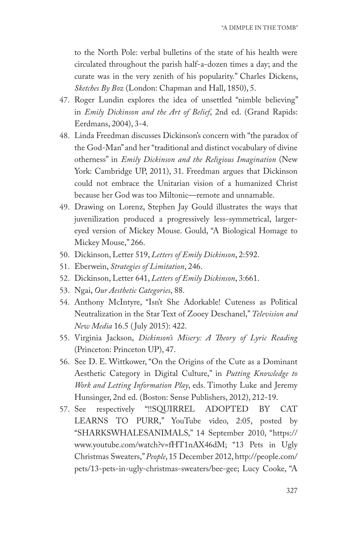to the North Pole: verbal bulletins of the state of his health were circulated throughout the parish half-a-dozen times a day; and the curate was in the very zenith of his popularity." Charles Dickens, *Sketches By Boz* (London: Chapman and Hall, 1850), 5.

- 47. Roger Lundin explores the idea of unsettled "nimble believing" in *Emily Dickinson and the Art of Belief*, 2nd ed. (Grand Rapids: Eerdmans, 2004), 3-4.
- 48. Linda Freedman discusses Dickinson's concern with "the paradox of the God-Man" and her "traditional and distinct vocabulary of divine otherness" in *Emily Dickinson and the Religious Imagination* (New York: Cambridge UP, 2011), 31. Freedman argues that Dickinson could not embrace the Unitarian vision of a humanized Christ because her God was too Miltonic—remote and unnamable.
- 49. Drawing on Lorenz, Stephen Jay Gould illustrates the ways that juvenilization produced a progressively less-symmetrical, largereyed version of Mickey Mouse. Gould, "A Biological Homage to Mickey Mouse," 266.
- 50. Dickinson, Letter 519, *Letters of Emily Dickinson*, 2:592.
- 51. Eberwein, *Strategies of Limitation*, 246.
- 52. Dickinson, Letter 641, *Letters of Emily Dickinson*, 3:661.
- 53. Ngai, *Our Aesthetic Categories*, 88.
- 54. Anthony McIntyre, "Isn't She Adorkable! Cuteness as Political Neutralization in the Star Text of Zooey Deschanel," *Television and New Media* 16.5 ( July 2015): 422.
- 55. Virginia Jackson, *Dickinson's Misery: A Theory of Lyric Reading*  (Princeton: Princeton UP), 47.
- 56. See D. E. Wittkower, "On the Origins of the Cute as a Dominant Aesthetic Category in Digital Culture," in *Putting Knowledge to Work and Letting Information Play*, eds. Timothy Luke and Jeremy Hunsinger, 2nd ed. (Boston: Sense Publishers, 2012), 212-19.
- 57. See respectively "!!SQUIRREL ADOPTED BY CAT LEARNS TO PURR," YouTube video, 2:05, posted by "SHARKSWHALESANIMALS," 14 September 2010, "https:// www.youtube.com/watch?v=fHT1nAX46dM; "13 Pets in Ugly Christmas Sweaters," *People*, 15 December 2012, http://people.com/ pets/13-pets-in-ugly-christmas-sweaters/bee-gee; Lucy Cooke, "A